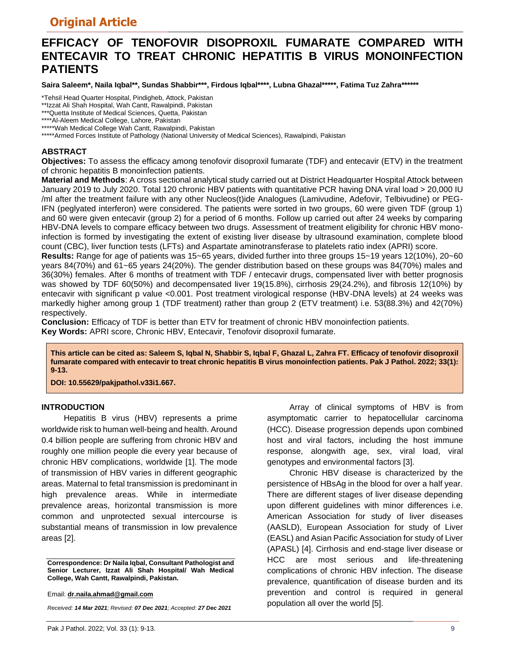## **Original Article**

# **EFFICACY OF TENOFOVIR DISOPROXIL FUMARATE COMPARED WITH ENTECAVIR TO TREAT CHRONIC HEPATITIS B VIRUS MONOINFECTION PATIENTS**

**Saira Saleem\*, Naila Iqbal\*\*, Sundas Shabbir\*\*\*, Firdous Iqbal\*\*\*\*, Lubna Ghazal\*\*\*\*\*, Fatima Tuz Zahra\*\*\*\*\*\***

\*Tehsil Head Quarter Hospital, Pindigheb, Attock, Pakistan

\*\*Izzat Ali Shah Hospital, Wah Cantt, Rawalpindi, Pakistan

\*\*\*Quetta Institute of Medical Sciences, Quetta, Pakistan

\*\*\*\*Al-Aleem Medical College, Lahore, Pakistan

\*\*\*\*\*Wah Medical College Wah Cantt, Rawalpindi, Pakistan

\*\*\*\*\*Armed Forces Institute of Pathology (National University of Medical Sciences), Rawalpindi, Pakistan

### **ABSTRACT**

**Objectives:** To assess the efficacy among tenofovir disoproxil fumarate (TDF) and entecavir (ETV) in the treatment of chronic hepatitis B monoinfection patients.

**Material and Methods**: A cross sectional analytical study carried out at District Headquarter Hospital Attock between January 2019 to July 2020. Total 120 chronic HBV patients with quantitative PCR having DNA viral load > 20,000 IU /ml after the treatment failure with any other Nucleos(t)ide Analogues (Lamivudine, Adefovir, Telbivudine) or PEG-IFN (peglyated interferon) were considered. The patients were sorted in two groups, 60 were given TDF (group 1) and 60 were given entecavir (group 2) for a period of 6 months. Follow up carried out after 24 weeks by comparing HBV-DNA levels to compare efficacy between two drugs. Assessment of treatment eligibility for chronic HBV monoinfection is formed by investigating the extent of existing liver disease by ultrasound examination, complete blood count (CBC), liver function tests (LFTs) and Aspartate aminotransferase to platelets ratio index (APRI) score.

**Results:** Range for age of patients was 15~65 years, divided further into three groups 15~19 years 12(10%), 20~60 years 84(70%) and 61~65 years 24(20%). The gender distribution based on these groups was 84(70%) males and 36(30%) females. After 6 months of treatment with TDF / entecavir drugs, compensated liver with better prognosis was showed by TDF 60(50%) and decompensated liver 19(15.8%), cirrhosis 29(24.2%), and fibrosis 12(10%) by entecavir with significant p value <0.001. Post treatment virological response (HBV-DNA levels) at 24 weeks was markedly higher among group 1 (TDF treatment) rather than group 2 (ETV treatment) i.e. 53(88.3%) and 42(70%) respectively.

**Conclusion:** Efficacy of TDF is better than ETV for treatment of chronic HBV monoinfection patients. **Key Words:** APRI score, Chronic HBV, Entecavir, Tenofovir disoproxil fumarate.

**This article can be cited as: Saleem S, Iqbal N, Shabbir S, Iqbal F, Ghazal L, Zahra FT. Efficacy of tenofovir disoproxil fumarate compared with entecavir to treat chronic hepatitis B virus monoinfection patients. Pak J Pathol. 2022; 33(1): 9-13.** 

**DOI: 10.55629/pakjpathol.v33i1.667.**

## **INTRODUCTION**

Hepatitis B virus (HBV) represents a prime worldwide risk to human well-being and health. Around 0.4 billion people are suffering from chronic HBV and roughly one million people die every year because of chronic HBV complications, worldwide [1]. The mode of transmission of HBV varies in different geographic areas. Maternal to fetal transmission is predominant in high prevalence areas. While in intermediate prevalence areas, horizontal transmission is more common and unprotected sexual intercourse is substantial means of transmission in low prevalence areas [2].

**Correspondence: Dr Naila Iqbal, Consultant Pathologist and Senior Lecturer, Izzat Ali Shah Hospital/ Wah Medical College, Wah Cantt, Rawalpindi, Pakistan.** 

Email: **[dr.naila.ahmad@gmail.com](mailto:dr.naila.ahmad@gmail.com)**

*Received: 14 Mar 2021; Revised: 07 Dec 2021; Accepted: 27 Dec 2021*

Array of clinical symptoms of HBV is from asymptomatic carrier to hepatocellular carcinoma (HCC). Disease progression depends upon combined host and viral factors, including the host immune response, alongwith age, sex, viral load, viral genotypes and environmental factors [3].

Chronic HBV disease is characterized by the persistence of HBsAg in the blood for over a half year. There are different stages of liver disease depending upon different guidelines with minor differences i.e. American Association for study of liver diseases (AASLD), European Association for study of Liver (EASL) and Asian Pacific Association for study of Liver (APASL) [4]. Cirrhosis and end-stage liver disease or HCC are most serious and life-threatening complications of chronic HBV infection. The disease prevalence, quantification of disease burden and its prevention and control is required in general population all over the world [5].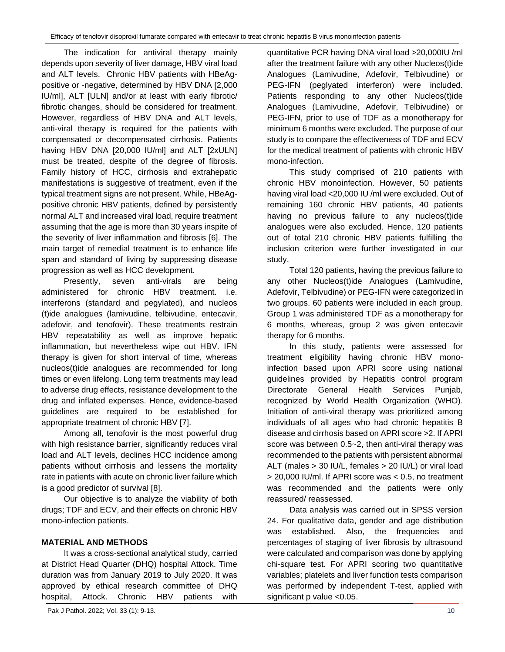The indication for antiviral therapy mainly depends upon severity of liver damage, HBV viral load and ALT levels. Chronic HBV patients with HBeAgpositive or -negative, determined by HBV DNA [2,000 IU/ml], ALT [ULN] and/or at least with early fibrotic/ fibrotic changes, should be considered for treatment. However, regardless of HBV DNA and ALT levels, anti-viral therapy is required for the patients with compensated or decompensated cirrhosis. Patients having HBV DNA [20,000 IU/ml] and ALT [2xULN] must be treated, despite of the degree of fibrosis. Family history of HCC, cirrhosis and extrahepatic manifestations is suggestive of treatment, even if the typical treatment signs are not present. While, HBeAgpositive chronic HBV patients, defined by persistently normal ALT and increased viral load, require treatment assuming that the age is more than 30 years inspite of the severity of liver inflammation and fibrosis [6]. The main target of remedial treatment is to enhance life span and standard of living by suppressing disease progression as well as HCC development.

Presently, seven anti-virals are being administered for chronic HBV treatment. i.e. interferons (standard and pegylated), and nucleos (t)ide analogues (lamivudine, telbivudine, entecavir, adefovir, and tenofovir). These treatments restrain HBV repeatability as well as improve hepatic inflammation, but nevertheless wipe out HBV. IFN therapy is given for short interval of time, whereas nucleos(t)ide analogues are recommended for long times or even lifelong. Long term treatments may lead to adverse drug effects, resistance development to the drug and inflated expenses. Hence, evidence-based guidelines are required to be established for appropriate treatment of chronic HBV [7].

Among all, tenofovir is the most powerful drug with high resistance barrier, significantly reduces viral load and ALT levels, declines HCC incidence among patients without cirrhosis and lessens the mortality rate in patients with acute on chronic liver failure which is a good predictor of survival [8].

Our objective is to analyze the viability of both drugs; TDF and ECV, and their effects on chronic HBV mono-infection patients.

## **MATERIAL AND METHODS**

It was a cross-sectional analytical study, carried at District Head Quarter (DHQ) hospital Attock. Time duration was from January 2019 to July 2020. It was approved by ethical research committee of DHQ hospital, Attock. Chronic HBV patients with

quantitative PCR having DNA viral load >20,000IU /ml after the treatment failure with any other Nucleos(t)ide Analogues (Lamivudine, Adefovir, Telbivudine) or PEG-IFN (peglyated interferon) were included. Patients responding to any other Nucleos(t)ide Analogues (Lamivudine, Adefovir, Telbivudine) or PEG-IFN, prior to use of TDF as a monotherapy for minimum 6 months were excluded. The purpose of our study is to compare the effectiveness of TDF and ECV for the medical treatment of patients with chronic HBV mono-infection.

This study comprised of 210 patients with chronic HBV monoinfection. However, 50 patients having viral load <20,000 IU /ml were excluded. Out of remaining 160 chronic HBV patients, 40 patients having no previous failure to any nucleos(t)ide analogues were also excluded. Hence, 120 patients out of total 210 chronic HBV patients fulfilling the inclusion criterion were further investigated in our study.

Total 120 patients, having the previous failure to any other Nucleos(t)ide Analogues (Lamivudine, Adefovir, Telbivudine) or PEG-IFN were categorized in two groups. 60 patients were included in each group. Group 1 was administered TDF as a monotherapy for 6 months, whereas, group 2 was given entecavir therapy for 6 months.

In this study, patients were assessed for treatment eligibility having chronic HBV monoinfection based upon APRI score using national guidelines provided by Hepatitis control program Directorate General Health Services Punjab, recognized by World Health Organization (WHO). Initiation of anti-viral therapy was prioritized among individuals of all ages who had chronic hepatitis B disease and cirrhosis based on APRI score >2. If APRI score was between 0.5~2, then anti-viral therapy was recommended to the patients with persistent abnormal ALT (males > 30 IU/L, females > 20 IU/L) or viral load > 20,000 IU/ml. If APRI score was < 0.5, no treatment was recommended and the patients were only reassured/ reassessed.

Data analysis was carried out in SPSS version 24. For qualitative data, gender and age distribution was established. Also, the frequencies and percentages of staging of liver fibrosis by ultrasound were calculated and comparison was done by applying chi-square test. For APRI scoring two quantitative variables; platelets and liver function tests comparison was performed by independent T-test, applied with significant p value <0.05.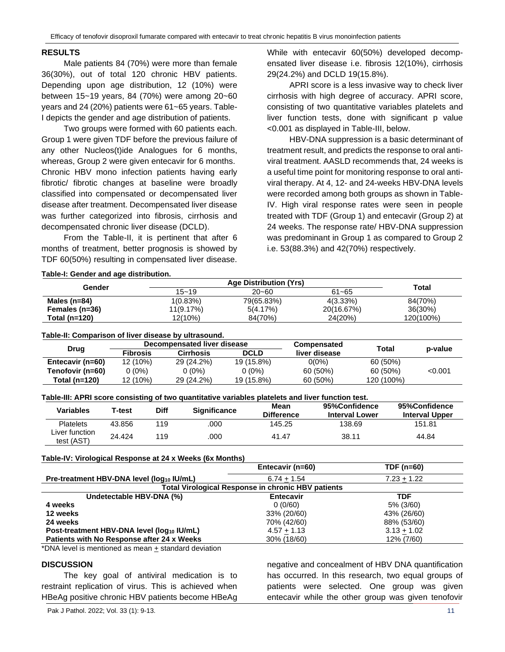#### **RESULTS**

Male patients 84 (70%) were more than female 36(30%), out of total 120 chronic HBV patients. Depending upon age distribution, 12 (10%) were between 15~19 years, 84 (70%) were among 20~60 years and 24 (20%) patients were 61~65 years. Table-I depicts the gender and age distribution of patients.

Two groups were formed with 60 patients each. Group 1 were given TDF before the previous failure of any other Nucleos(t)ide Analogues for 6 months, whereas, Group 2 were given entecavir for 6 months. Chronic HBV mono infection patients having early fibrotic/ fibrotic changes at baseline were broadly classified into compensated or decompensated liver disease after treatment. Decompensated liver disease was further categorized into fibrosis, cirrhosis and decompensated chronic liver disease (DCLD).

From the Table-II, it is pertinent that after 6 months of treatment, better prognosis is showed by TDF 60(50%) resulting in compensated liver disease.

While with entecavir 60(50%) developed decompensated liver disease i.e. fibrosis 12(10%), cirrhosis 29(24.2%) and DCLD 19(15.8%).

APRI score is a less invasive way to check liver cirrhosis with high degree of accuracy. APRI score, consisting of two quantitative variables platelets and liver function tests, done with significant p value <0.001 as displayed in Table-III, below.

HBV-DNA suppression is a basic determinant of treatment result, and predicts the response to oral antiviral treatment. AASLD recommends that, 24 weeks is a useful time point for monitoring response to oral antiviral therapy. At 4, 12- and 24-weeks HBV-DNA levels were recorded among both groups as shown in Table-IV. High viral response rates were seen in people treated with TDF (Group 1) and entecavir (Group 2) at 24 weeks. The response rate/ HBV-DNA suppression was predominant in Group 1 as compared to Group 2 i.e. 53(88.3%) and 42(70%) respectively.

| Gender         |           | Total      |             |           |
|----------------|-----------|------------|-------------|-----------|
|                | $15 - 19$ | $20 - 60$  | $61 - 65$   |           |
| Males (n=84)   | 1(0.83%)  | 79(65.83%) | $4(3.33\%)$ | 84(70%)   |
| Females (n=36) | 11(9.17%) | 5(4.17%)   | 20(16.67%)  | 36(30%)   |
| Total (n=120)  | 12(10%)   | 84(70%)    | 24(20%)     | 120(100%) |

#### **Table-II: Comparison of liver disease by ultrasound.**

| Drug             | Decompensated liver disease |            |             | <b>Compensated</b> | Total      |           |
|------------------|-----------------------------|------------|-------------|--------------------|------------|-----------|
|                  | <b>Fibrosis</b>             | Cirrhosis  | <b>DCLD</b> | liver disease      |            | p-value   |
| Entecavir (n=60) | 12 (10%)                    | 29 (24.2%) | 19 (15.8%)  | $0(0\%)$           | 60 (50%)   |           |
| Tenofovir (n=60) | $0(0\%)$                    | 0 (0%)     | 0 (0%)      | 60 (50%)           | 60 (50%)   | $<$ 0.001 |
| Total (n=120)    | 12 (10%)                    | 29 (24.2%) | 19 (15.8%)  | 60 (50%)           | 120 (100%) |           |

|  | Table-III: APRI score consisting of two quantitative variables platelets and liver function test. |
|--|---------------------------------------------------------------------------------------------------|
|  |                                                                                                   |

| Variables                    | T-test | Diff | <b>Significance</b> | Mean<br><b>Difference</b> | 95%Confidence<br><b>Interval Lower</b> | 95%Confidence<br><b>Interval Upper</b> |
|------------------------------|--------|------|---------------------|---------------------------|----------------------------------------|----------------------------------------|
| <b>Platelets</b>             | 43.856 | 119  | .000                | 145.25                    | 138.69                                 | 151.81                                 |
| Liver function<br>test (AST) | 24.424 | 119  | .000                | 41.47                     | 38.11                                  | 44.84                                  |

#### **Table-IV: Virological Response at 24 x Weeks (6x Months)**

| Entecavir (n=60)                                          | TDF (n=60)    |  |  |  |
|-----------------------------------------------------------|---------------|--|--|--|
| $6.74 + 1.54$                                             | $7.23 + 1.22$ |  |  |  |
| <b>Total Virological Response in chronic HBV patients</b> |               |  |  |  |
| <b>Entecavir</b>                                          | TDF           |  |  |  |
| 0(0/60)                                                   | 5% (3/60)     |  |  |  |
| 33% (20/60)                                               | 43% (26/60)   |  |  |  |
| 70% (42/60)                                               | 88% (53/60)   |  |  |  |
| $4.57 + 1.13$                                             | $3.13 + 1.02$ |  |  |  |
| 30% (18/60)                                               | 12% (7/60)    |  |  |  |
|                                                           |               |  |  |  |

\*DNA level is mentioned as mean  $\pm$  standard deviation

#### **DISCUSSION**

The key goal of antiviral medication is to restraint replication of virus. This is achieved when HBeAg positive chronic HBV patients become HBeAg negative and concealment of HBV DNA quantification has occurred. In this research, two equal groups of patients were selected. One group was given entecavir while the other group was given tenofovir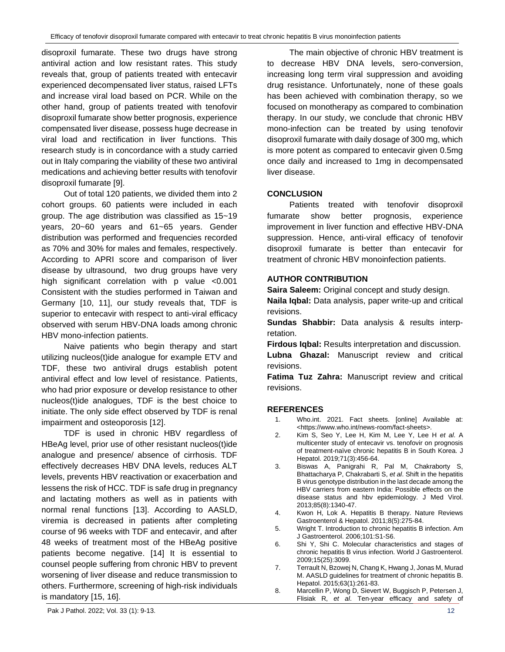disoproxil fumarate. These two drugs have strong antiviral action and low resistant rates. This study reveals that, group of patients treated with entecavir experienced decompensated liver status, raised LFTs and increase viral load based on PCR. While on the other hand, group of patients treated with tenofovir disoproxil fumarate show better prognosis, experience compensated liver disease, possess huge decrease in viral load and rectification in liver functions. This research study is in concordance with a study carried out in Italy comparing the viability of these two antiviral medications and achieving better results with tenofovir disoproxil fumarate [9].

Out of total 120 patients, we divided them into 2 cohort groups. 60 patients were included in each group. The age distribution was classified as 15~19 years, 20~60 years and 61~65 years. Gender distribution was performed and frequencies recorded as 70% and 30% for males and females, respectively. According to APRI score and comparison of liver disease by ultrasound, two drug groups have very high significant correlation with p value <0.001 Consistent with the studies performed in Taiwan and Germany [10, 11], our study reveals that, TDF is superior to entecavir with respect to anti-viral efficacy observed with serum HBV-DNA loads among chronic HBV mono-infection patients.

Naive patients who begin therapy and start utilizing nucleos(t)ide analogue for example ETV and TDF, these two antiviral drugs establish potent antiviral effect and low level of resistance. Patients, who had prior exposure or develop resistance to other nucleos(t)ide analogues, TDF is the best choice to initiate. The only side effect observed by TDF is renal impairment and osteoporosis [12].

TDF is used in chronic HBV regardless of HBeAg level, prior use of other resistant nucleos(t)ide analogue and presence/ absence of cirrhosis. TDF effectively decreases HBV DNA levels, reduces ALT levels, prevents HBV reactivation or exacerbation and lessens the risk of HCC. TDF is safe drug in pregnancy and lactating mothers as well as in patients with normal renal functions [13]. According to AASLD, viremia is decreased in patients after completing course of 96 weeks with TDF and entecavir, and after 48 weeks of treatment most of the HBeAg positive patients become negative. [14] It is essential to counsel people suffering from chronic HBV to prevent worsening of liver disease and reduce transmission to others. Furthermore, screening of high-risk individuals is mandatory [15, 16].

The main objective of chronic HBV treatment is to decrease HBV DNA levels, sero-conversion, increasing long term viral suppression and avoiding drug resistance. Unfortunately, none of these goals has been achieved with combination therapy, so we focused on monotherapy as compared to combination therapy. In our study, we conclude that chronic HBV mono-infection can be treated by using tenofovir disoproxil fumarate with daily dosage of 300 mg, which is more potent as compared to entecavir given 0.5mg once daily and increased to 1mg in decompensated liver disease.

## **CONCLUSION**

Patients treated with tenofovir disoproxil fumarate show better prognosis, experience improvement in liver function and effective HBV-DNA suppression. Hence, anti-viral efficacy of tenofovir disoproxil fumarate is better than entecavir for treatment of chronic HBV monoinfection patients.

## **AUTHOR CONTRIBUTION**

**Saira Saleem:** Original concept and study design.

**Naila Iqbal:** Data analysis, paper write-up and critical revisions.

**Sundas Shabbir:** Data analysis & results interpretation.

**Firdous Iqbal:** Results interpretation and discussion.

**Lubna Ghazal:** Manuscript review and critical revisions.

**Fatima Tuz Zahra:** Manuscript review and critical revisions.

## **REFERENCES**

- 1. Who.int. 2021. Fact sheets. [online] Available at: [<https://www.who.int/news-room/fact-sheets>](https://www.who.int/news-room/fact-sheets).
- 2. Kim S, Seo Y, Lee H, Kim M, Lee Y, Lee H *et al*. A multicenter study of entecavir vs. tenofovir on prognosis of treatment-naïve chronic hepatitis B in South Korea. J Hepatol. 2019;71(3):456-64.
- 3. Biswas A, Panigrahi R, Pal M, Chakraborty S, Bhattacharya P, Chakrabarti S, *et al*. Shift in the hepatitis B virus genotype distribution in the last decade among the HBV carriers from eastern India: Possible effects on the disease status and hbv epidemiology. J Med Virol. 2013;85(8):1340-47.
- 4. Kwon H, Lok A. Hepatitis B therapy. Nature Reviews Gastroenterol & Hepatol. 2011;8(5):275-84.
- 5. Wright T. Introduction to chronic hepatitis B infection. Am J Gastroenterol. 2006;101:S1-S6.
- 6. Shi Y, Shi C. Molecular characteristics and stages of chronic hepatitis B virus infection. World J Gastroenterol. 2009;15(25):3099.
- 7. Terrault N, Bzowej N, Chang K, Hwang J, Jonas M, Murad M. AASLD guidelines for treatment of chronic hepatitis B. Hepatol. 2015;63(1):261-83.
- 8. Marcellin P, Wong D, Sievert W, Buggisch P, Petersen J, Flisiak R, *et al*. Ten‐year efficacy and safety of